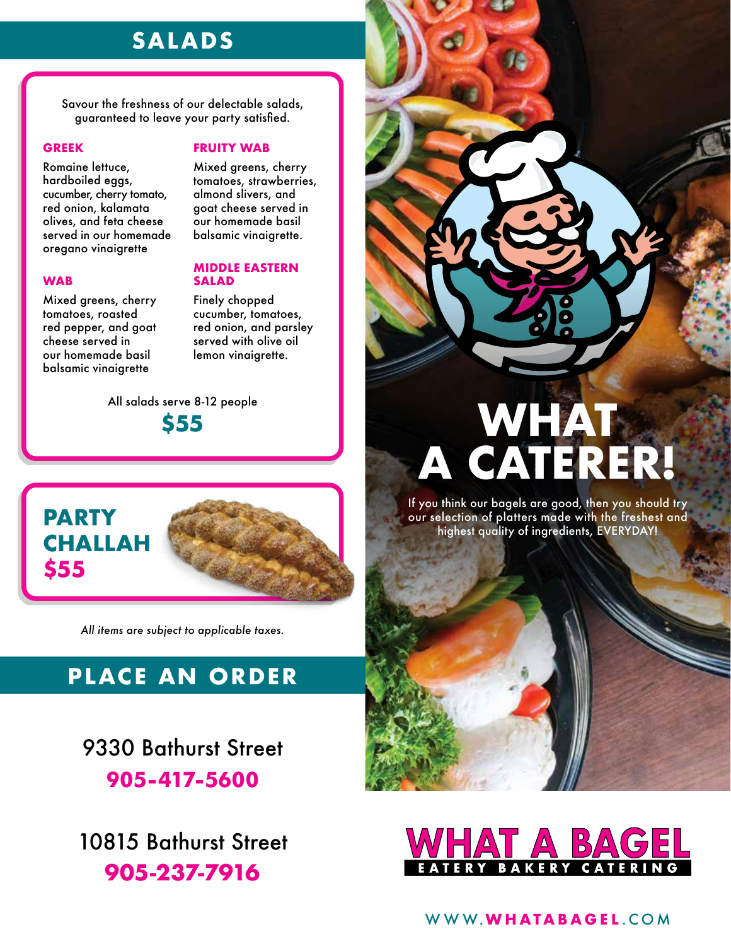## **SALADS**

Savour the freshness of our delectable salads, guaranteed to leave your party satisfied.

#### **GREEK**

Romaine lettuce, hardboiled eggs, cucumber, cherry tomato, red onion, kalamata olives, and feta cheese served in our homemade oregano vinaigrette

### **WAB**

Mixed greens, cherry tomatoes, roasted red pepper, and goat cheese served in our homemade basil balsamic vinaigrette

**PARTY** 

**\$55**

### **FRUITY WAB**

Mixed greens, cherry tomatoes, strawberries, almond slivers, and goat cheese served in our homemade basil balsamic vinaigrette.

### **MIDDLE EASTERN SALAD**

Finely chopped cucumber, tomatoes, red onion, and parsley served with olive oil lemon vinaigrette.

All salads serve 8-12 people **\$55**



*All items are subject to applicable taxes.*

# **PLACE AN ORDER**

9330 Bathurst Street **905-417-5600**

10815 Bathurst Street **905-237-7916**



If you think our bagels are good, then you should try our selection of platters made with the freshest and highest quality of ingredients, EVERYDAY!



### WWW.**WHATABAGEL** .COM